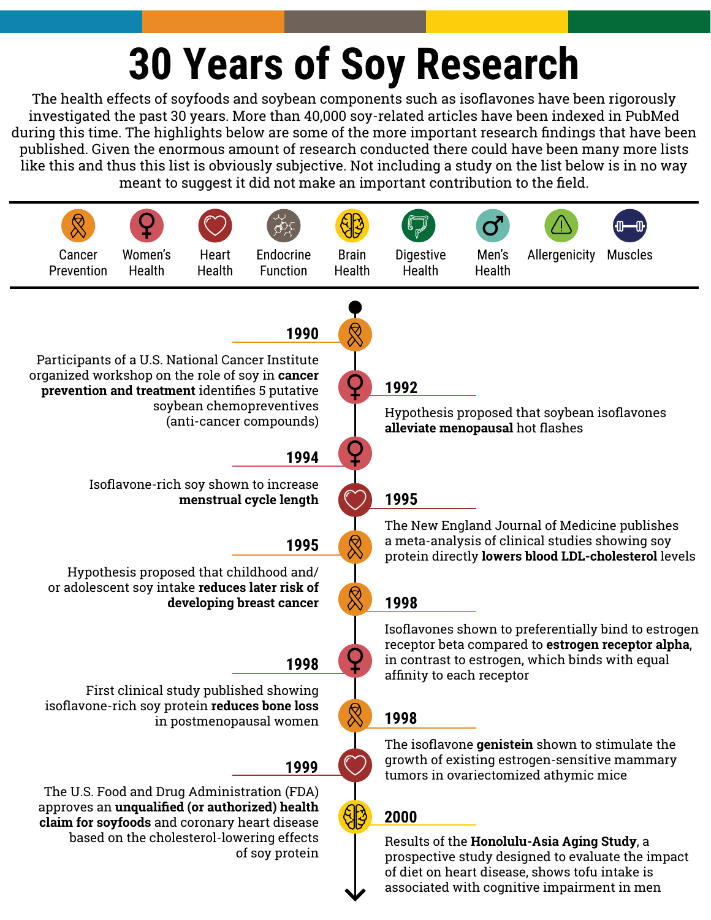# **30 Years of Soy Research**

The health effects of soyfoods and soybean components such as isoflavones have been rigorously investigated the past 30 years. More than 40,000 soy-related articles have been indexed in PubMed during this time. The highlights below are some of the more important research findings that have been published. Given the enormous amount of research conducted there could have been many more lists like this and thus this list is obviously subjective. Not including a study on the list below is in no way meant to suggest it did not make an important contribution to the field.

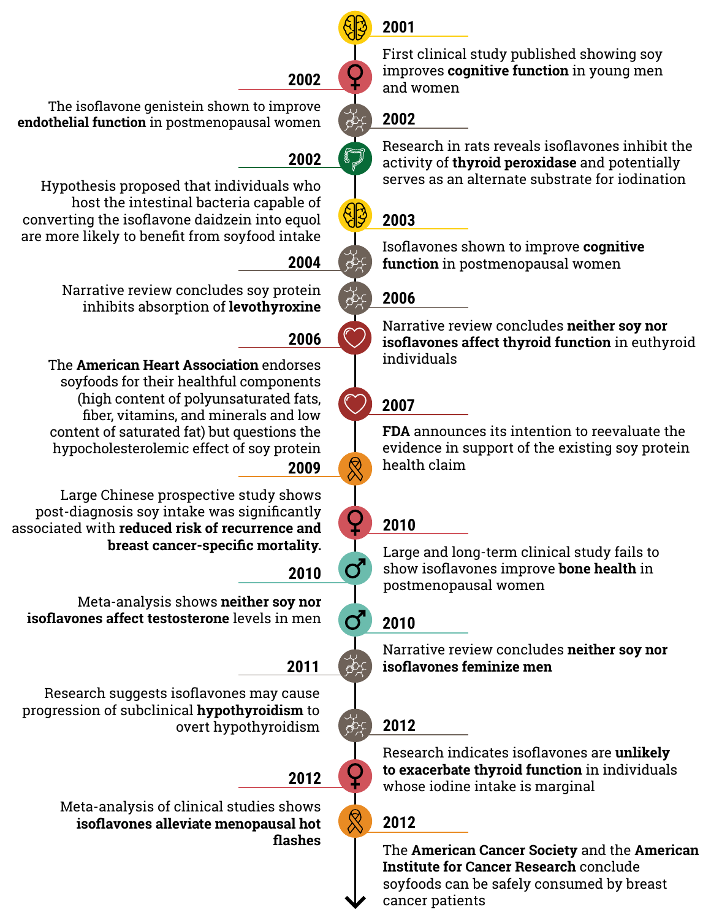### **2001**

First clinical study published showing soy improves **cognitive function** in young men and women

### **2002**

Research in rats reveals isoflavones inhibit the activity of **thyroid peroxidase** and potentially serves as an alternate substrate for iodination

### **2003**

Isoflavones shown to improve **cognitive function** in postmenopausal women

### **2006**

Narrative review concludes **neither soy nor isoflavones affect thyroid function** in euthyroid individuals

### **2007**

**FDA** announces its intention to reevaluate the evidence in support of the existing soy protein health claim

### **2010**

Large and long-term clinical study fails to show isoflavones improve **bone health** in postmenopausal women

### **2010**

Narrative review concludes **neither soy nor isoflavones feminize men**

### **2012**

Research indicates isoflavones are **unlikely to exacerbate thyroid function** in individuals whose iodine intake is marginal

### **2012**

The **American Cancer Society** and the **American Institute for Cancer Research** conclude soyfoods can be safely consumed by breast cancer patients

### **2002**

The isoflavone genistein shown to improve **endothelial function** in postmenopausal women

### **2002**

Hypothesis proposed that individuals who host the intestinal bacteria capable of converting the isoflavone daidzein into equol are more likely to benefit from soyfood intake

### **2004**

Narrative review concludes soy protein inhibits absorption of **levothyroxine**

### **2006**

The **American Heart Association** endorses soyfoods for their healthful components (high content of polyunsaturated fats, fiber, vitamins, and minerals and low content of saturated fat) but questions the hypocholesterolemic effect of soy protein **2009**

Large Chinese prospective study shows post-diagnosis soy intake was significantly associated with **reduced risk of recurrence and breast cancer-specific mortality.**

### **2010**

 $\sigma$ 

Meta-analysis shows **neither soy nor isoflavones affect testosterone** levels in men

### **2011**

Research suggests isoflavones may cause progression of subclinical **hypothyroidism** to overt hypothyroidism

### **2012**

Meta-analysis of clinical studies shows **isoflavones alleviate menopausal hot flashes**